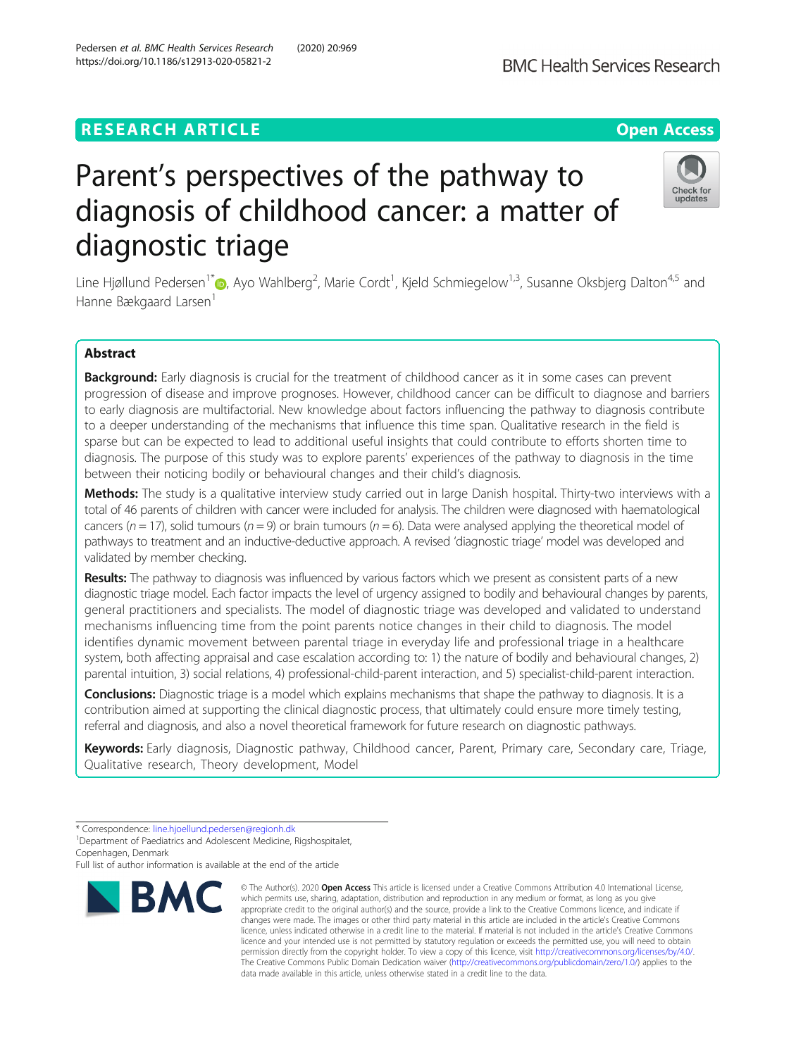# **RESEARCH ARTICLE Example 2014 12:30 The Contract of Contract ACCESS**

# Parent's perspectives of the pathway to diagnosis of childhood cancer: a matter of diagnostic triage

Line Hjøllund Pedersen<sup>1\*</sup> (D[,](http://orcid.org/0000-0001-7305-098X) Ayo Wahlberg<sup>2</sup>, Marie Cordt<sup>1</sup>, Kjeld Schmiegelow<sup>1,3</sup>, Susanne Oksbjerg Dalton<sup>4,5</sup> and Hanne Bækgaard Larsen<sup>1</sup>

# Abstract

Background: Early diagnosis is crucial for the treatment of childhood cancer as it in some cases can prevent progression of disease and improve prognoses. However, childhood cancer can be difficult to diagnose and barriers to early diagnosis are multifactorial. New knowledge about factors influencing the pathway to diagnosis contribute to a deeper understanding of the mechanisms that influence this time span. Qualitative research in the field is sparse but can be expected to lead to additional useful insights that could contribute to efforts shorten time to diagnosis. The purpose of this study was to explore parents' experiences of the pathway to diagnosis in the time between their noticing bodily or behavioural changes and their child's diagnosis.

Methods: The study is a qualitative interview study carried out in large Danish hospital. Thirty-two interviews with a total of 46 parents of children with cancer were included for analysis. The children were diagnosed with haematological cancers ( $n = 17$ ), solid tumours ( $n = 9$ ) or brain tumours ( $n = 6$ ). Data were analysed applying the theoretical model of pathways to treatment and an inductive-deductive approach. A revised 'diagnostic triage' model was developed and validated by member checking.

Results: The pathway to diagnosis was influenced by various factors which we present as consistent parts of a new diagnostic triage model. Each factor impacts the level of urgency assigned to bodily and behavioural changes by parents, general practitioners and specialists. The model of diagnostic triage was developed and validated to understand mechanisms influencing time from the point parents notice changes in their child to diagnosis. The model identifies dynamic movement between parental triage in everyday life and professional triage in a healthcare system, both affecting appraisal and case escalation according to: 1) the nature of bodily and behavioural changes, 2) parental intuition, 3) social relations, 4) professional-child-parent interaction, and 5) specialist-child-parent interaction.

**Conclusions:** Diagnostic triage is a model which explains mechanisms that shape the pathway to diagnosis. It is a contribution aimed at supporting the clinical diagnostic process, that ultimately could ensure more timely testing, referral and diagnosis, and also a novel theoretical framework for future research on diagnostic pathways.

Keywords: Early diagnosis, Diagnostic pathway, Childhood cancer, Parent, Primary care, Secondary care, Triage, Qualitative research, Theory development, Model

<sup>1</sup>Department of Paediatrics and Adolescent Medicine, Rigshospitalet, Copenhagen, Denmark

data made available in this article, unless otherwise stated in a credit line to the data.

permission directly from the copyright holder. To view a copy of this licence, visit [http://creativecommons.org/licenses/by/4.0/.](http://creativecommons.org/licenses/by/4.0/) The Creative Commons Public Domain Dedication waiver [\(http://creativecommons.org/publicdomain/zero/1.0/](http://creativecommons.org/publicdomain/zero/1.0/)) applies to the





<sup>\*</sup> Correspondence: [line.hjoellund.pedersen@regionh.dk](mailto:line.hjoellund.pedersen@regionh.dk) <sup>1</sup>

Full list of author information is available at the end of the article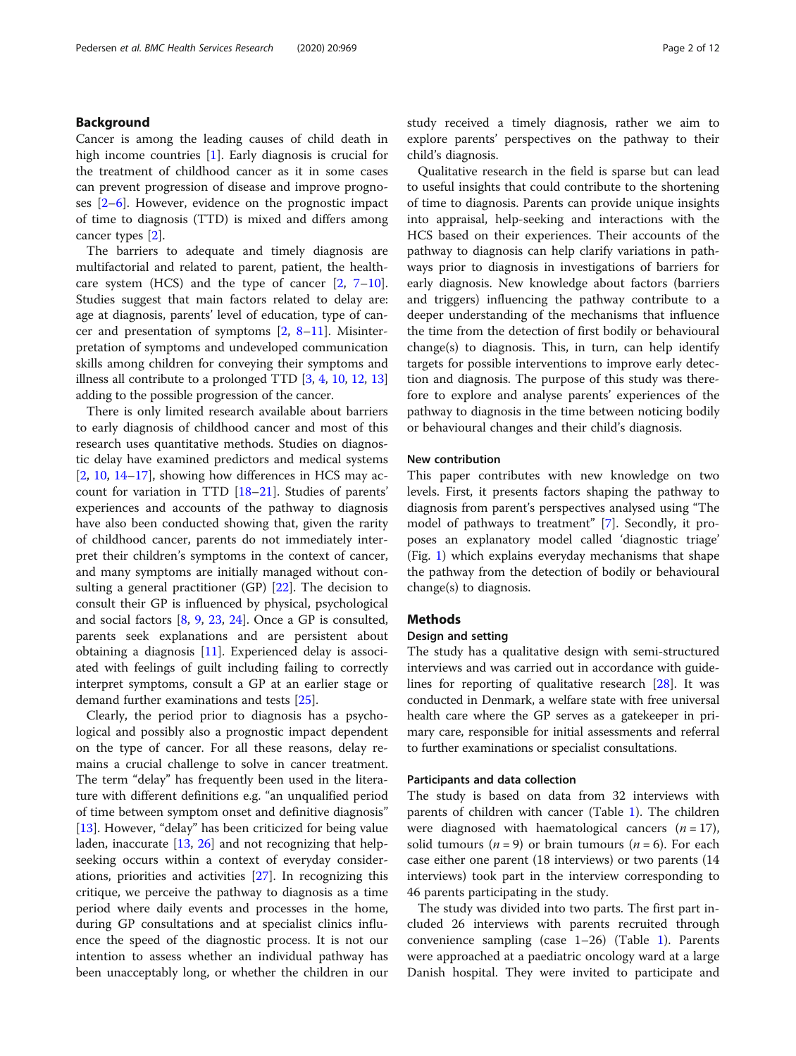# Background

Cancer is among the leading causes of child death in high income countries [\[1](#page-10-0)]. Early diagnosis is crucial for the treatment of childhood cancer as it in some cases can prevent progression of disease and improve prognoses  $[2-6]$  $[2-6]$  $[2-6]$ . However, evidence on the prognostic impact of time to diagnosis (TTD) is mixed and differs among cancer types [\[2](#page-10-0)].

The barriers to adequate and timely diagnosis are multifactorial and related to parent, patient, the healthcare system (HCS) and the type of cancer  $[2, 7-10]$  $[2, 7-10]$  $[2, 7-10]$  $[2, 7-10]$  $[2, 7-10]$  $[2, 7-10]$ . Studies suggest that main factors related to delay are: age at diagnosis, parents' level of education, type of cancer and presentation of symptoms [\[2](#page-10-0), [8](#page-10-0)–[11\]](#page-10-0). Misinterpretation of symptoms and undeveloped communication skills among children for conveying their symptoms and illness all contribute to a prolonged TTD [[3,](#page-10-0) [4](#page-10-0), [10](#page-10-0), [12,](#page-11-0) [13](#page-11-0)] adding to the possible progression of the cancer.

There is only limited research available about barriers to early diagnosis of childhood cancer and most of this research uses quantitative methods. Studies on diagnostic delay have examined predictors and medical systems  $[2, 10, 14-17]$  $[2, 10, 14-17]$  $[2, 10, 14-17]$  $[2, 10, 14-17]$  $[2, 10, 14-17]$  $[2, 10, 14-17]$  $[2, 10, 14-17]$  $[2, 10, 14-17]$ , showing how differences in HCS may account for variation in TTD [[18](#page-11-0)–[21](#page-11-0)]. Studies of parents' experiences and accounts of the pathway to diagnosis have also been conducted showing that, given the rarity of childhood cancer, parents do not immediately interpret their children's symptoms in the context of cancer, and many symptoms are initially managed without consulting a general practitioner (GP) [\[22](#page-11-0)]. The decision to consult their GP is influenced by physical, psychological and social factors [\[8](#page-10-0), [9,](#page-10-0) [23,](#page-11-0) [24](#page-11-0)]. Once a GP is consulted, parents seek explanations and are persistent about obtaining a diagnosis [\[11\]](#page-10-0). Experienced delay is associated with feelings of guilt including failing to correctly interpret symptoms, consult a GP at an earlier stage or demand further examinations and tests [\[25](#page-11-0)].

Clearly, the period prior to diagnosis has a psychological and possibly also a prognostic impact dependent on the type of cancer. For all these reasons, delay remains a crucial challenge to solve in cancer treatment. The term "delay" has frequently been used in the literature with different definitions e.g. "an unqualified period of time between symptom onset and definitive diagnosis" [[13\]](#page-11-0). However, "delay" has been criticized for being value laden, inaccurate [[13,](#page-11-0) [26\]](#page-11-0) and not recognizing that helpseeking occurs within a context of everyday considerations, priorities and activities [\[27](#page-11-0)]. In recognizing this critique, we perceive the pathway to diagnosis as a time period where daily events and processes in the home, during GP consultations and at specialist clinics influence the speed of the diagnostic process. It is not our intention to assess whether an individual pathway has been unacceptably long, or whether the children in our study received a timely diagnosis, rather we aim to explore parents' perspectives on the pathway to their child's diagnosis.

Qualitative research in the field is sparse but can lead to useful insights that could contribute to the shortening of time to diagnosis. Parents can provide unique insights into appraisal, help-seeking and interactions with the HCS based on their experiences. Their accounts of the pathway to diagnosis can help clarify variations in pathways prior to diagnosis in investigations of barriers for early diagnosis. New knowledge about factors (barriers and triggers) influencing the pathway contribute to a deeper understanding of the mechanisms that influence the time from the detection of first bodily or behavioural change(s) to diagnosis. This, in turn, can help identify targets for possible interventions to improve early detection and diagnosis. The purpose of this study was therefore to explore and analyse parents' experiences of the pathway to diagnosis in the time between noticing bodily or behavioural changes and their child's diagnosis.

# New contribution

This paper contributes with new knowledge on two levels. First, it presents factors shaping the pathway to diagnosis from parent's perspectives analysed using "The model of pathways to treatment" [\[7\]](#page-10-0). Secondly, it proposes an explanatory model called 'diagnostic triage' (Fig. [1\)](#page-2-0) which explains everyday mechanisms that shape the pathway from the detection of bodily or behavioural change(s) to diagnosis.

# Methods

#### Design and setting

The study has a qualitative design with semi-structured interviews and was carried out in accordance with guidelines for reporting of qualitative research [[28](#page-11-0)]. It was conducted in Denmark, a welfare state with free universal health care where the GP serves as a gatekeeper in primary care, responsible for initial assessments and referral to further examinations or specialist consultations.

# Participants and data collection

The study is based on data from 32 interviews with parents of children with cancer (Table [1\)](#page-3-0). The children were diagnosed with haematological cancers  $(n = 17)$ , solid tumours ( $n = 9$ ) or brain tumours ( $n = 6$ ). For each case either one parent (18 interviews) or two parents (14 interviews) took part in the interview corresponding to 46 parents participating in the study.

The study was divided into two parts. The first part included 26 interviews with parents recruited through convenience sampling (case  $1-26$ ) (Table [1\)](#page-3-0). Parents were approached at a paediatric oncology ward at a large Danish hospital. They were invited to participate and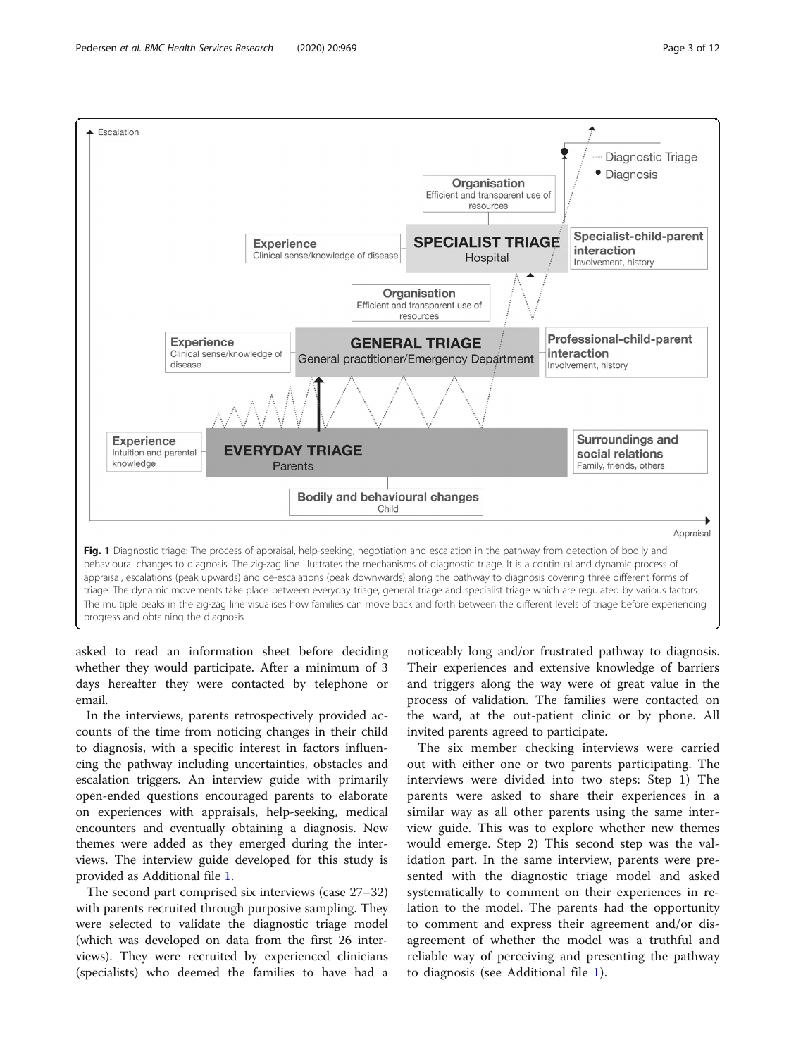<span id="page-2-0"></span>Pedersen et al. BMC Health Services Research (2020) 20:969 Page 3 of 12



asked to read an information sheet before deciding whether they would participate. After a minimum of 3 days hereafter they were contacted by telephone or email.

In the interviews, parents retrospectively provided accounts of the time from noticing changes in their child to diagnosis, with a specific interest in factors influencing the pathway including uncertainties, obstacles and escalation triggers. An interview guide with primarily open-ended questions encouraged parents to elaborate on experiences with appraisals, help-seeking, medical encounters and eventually obtaining a diagnosis. New themes were added as they emerged during the interviews. The interview guide developed for this study is provided as Additional file [1.](#page-10-0)

The second part comprised six interviews (case 27–32) with parents recruited through purposive sampling. They were selected to validate the diagnostic triage model (which was developed on data from the first 26 interviews). They were recruited by experienced clinicians (specialists) who deemed the families to have had a

noticeably long and/or frustrated pathway to diagnosis. Their experiences and extensive knowledge of barriers and triggers along the way were of great value in the process of validation. The families were contacted on the ward, at the out-patient clinic or by phone. All invited parents agreed to participate.

The six member checking interviews were carried out with either one or two parents participating. The interviews were divided into two steps: Step 1) The parents were asked to share their experiences in a similar way as all other parents using the same interview guide. This was to explore whether new themes would emerge. Step 2) This second step was the validation part. In the same interview, parents were presented with the diagnostic triage model and asked systematically to comment on their experiences in relation to the model. The parents had the opportunity to comment and express their agreement and/or disagreement of whether the model was a truthful and reliable way of perceiving and presenting the pathway to diagnosis (see Additional file [1](#page-10-0)).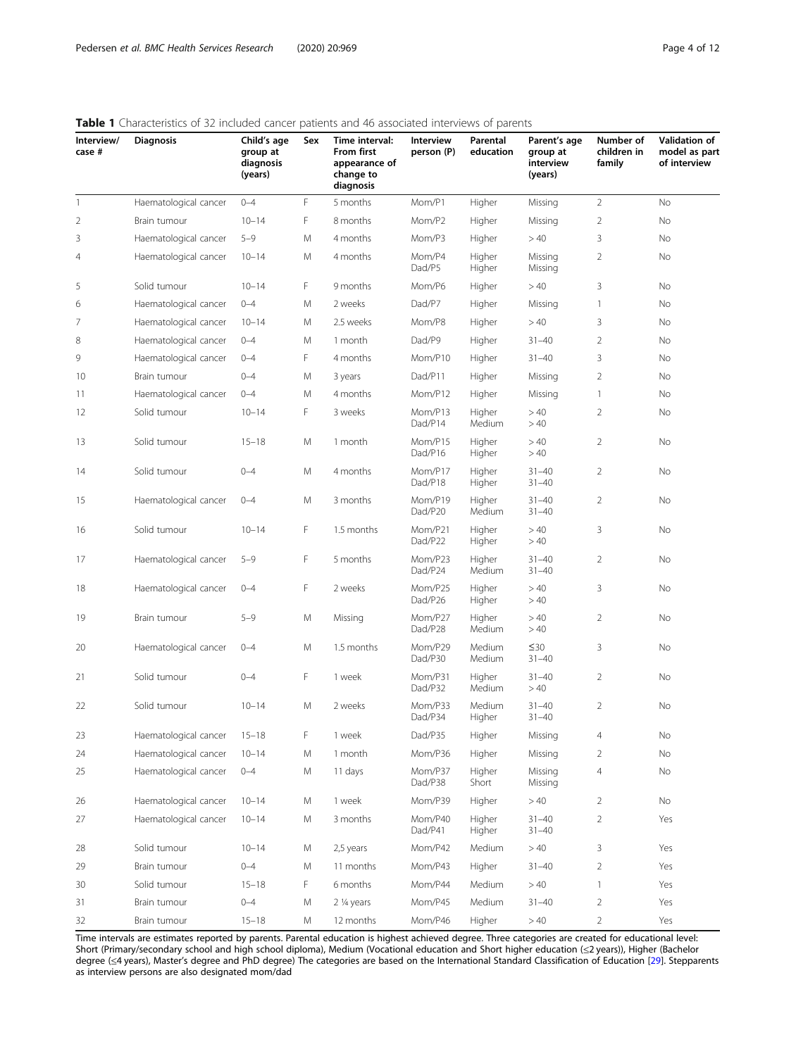#### Interview/ case # Diagnosis Child's age group at diagnosis (years) Sex Time interval: From first appearance of change to diagnosis Interview person (P) Parental education Parent's age group at interview (years) Number of children in family Validation of model as part of interview 1 Haematological cancer 0–4 F 5 months Mom/P1 Higher Missing 2 No 2 Brain tumour 10–14 F 8 months Mom/P2 Higher Missing 2 No 3 Haematological cancer 5–9 M 4 months Mom/P3 Higher > 40 3 No 4 Haematological cancer 10-14 M 4 months Mom/P4 Dad/P5 Higher Higher Missing Missing 2 No 5 Solid tumour 10–14 F 9 months Mom/P6 Higher > 40 3 No 6 Haematological cancer 0–4 M 2 weeks Dad/P7 Higher Missing 1 No 7 Haematological cancer 10–14 M 2.5 weeks Mom/P8 Higher > 40 3 No 8 Haematological cancer 0–4 M 1 month Dad/P9 Higher 31–40 2 No 9 Haematological cancer 0–4 F 4 months Mom/P10 Higher 31–40 3 No 10 Brain tumour 0–4 M 3 years Dad/P11 Higher Missing 2 No 11 Haematological cancer 0–4 M 4 months Mom/P12 Higher Missing 1 No 12 Solid tumour 10–14 F 3 weeks Mom/P13 Dad/P14 Higher Medium  $> 40$  $> 40$ 2 No 13 Solid tumour 15–18 M 1 month Mom/P15 Dad/P16 Higher Higher  $\sim$  40  $> 40$ 2 No 14 Solid tumour 0–4 M 4 months Mom/P17 Dad/P18 Higher Higher  $31 - 40$ 31–40 2 No 15 Haematological cancer 0–4 M 3 months Mom/P19 Dad/P20 Higher Medium  $31 - 40$ 31–40 2 No 16 Solid tumour 10–14 F 1.5 months Mom/P21 Dad/P22 Higher Higher  $> 40$  $> 40$ 3 No 17 Haematological cancer 5–9 F 5 months Mom/P23 Dad/P24 Higher Medium 31–40 31–40 2 No 18 Haematological cancer 0–4 F 2 weeks Mom/P25 Dad/P26 Higher Higher  $> 40$  $> 40$ 3 No 19 Brain tumour 5-9 M Missing Mom/P27 Dad/P28 Higher Medium  $> 40$  $> 40$ 2 No 20 Haematological cancer 0–4 M 1.5 months Mom/P29 Dad/P30 Medium Medium ≤30 31–40 3 No 21 Solid tumour 0–4 F 1 week Mom/P31 Dad/P32 Higher Medium 31–40  $> 40$ 2 No 22 Solid tumour 10–14 M 2 weeks Mom/P33 Dad/P34 Medium Higher 31–40 31–40 2 No 23 Haematological cancer 15–18 F 1 week Dad/P35 Higher Missing 4 No 24 Haematological cancer 10–14 M 1 month Mom/P36 Higher Missing 2 No 25 Haematological cancer 0–4 M 11 days Mom/P37 Dad/P38 Higher Short Missing Missing 4 No 26 Haematological cancer 10–14 M 1 week Mom/P39 Higher > 40 2 No 27 Haematological cancer 10–14 M 3 months Mom/P40 Dad/P41 Higher Higher 31–40 31–40 2 Yes 28 Solid tumour 10–14 M 2,5 years Mom/P42 Medium > 40 3 Yes 29 Brain tumour 0–4 M 11 months Mom/P43 Higher 31–40 2 Yes 30 Solid tumour 15–18 F 6 months Mom/P44 Medium > 40 1 Yes 31 Brain tumour 0–4 M 2 ¼ years Mom/P45 Medium 31–40 2 Yes 32 Brain tumour 15–18 M 12 months Mom/P46 Higher > 40 2 Yes

<span id="page-3-0"></span>Table 1 Characteristics of 32 included cancer patients and 46 associated interviews of parents

Time intervals are estimates reported by parents. Parental education is highest achieved degree. Three categories are created for educational level: Short (Primary/secondary school and high school diploma), Medium (Vocational education and Short higher education (≤2 years)), Higher (Bachelor degree (≤4 years), Master's degree and PhD degree) The categories are based on the International Standard Classification of Education [[29\]](#page-11-0). Stepparents as interview persons are also designated mom/dad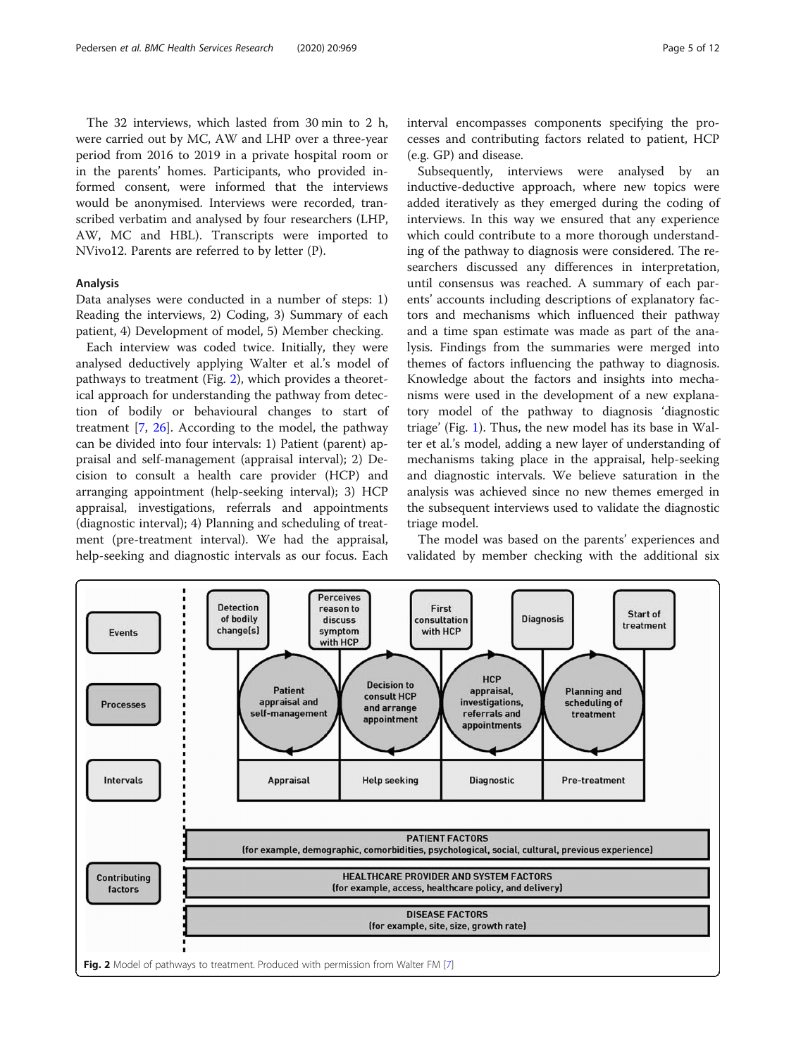<span id="page-4-0"></span>The 32 interviews, which lasted from 30 min to 2 h, were carried out by MC, AW and LHP over a three-year period from 2016 to 2019 in a private hospital room or in the parents' homes. Participants, who provided informed consent, were informed that the interviews would be anonymised. Interviews were recorded, transcribed verbatim and analysed by four researchers (LHP, AW, MC and HBL). Transcripts were imported to NVivo12. Parents are referred to by letter (P).

# Analysis

Events

**Processes** 

Intervals

Data analyses were conducted in a number of steps: 1) Reading the interviews, 2) Coding, 3) Summary of each patient, 4) Development of model, 5) Member checking.

Each interview was coded twice. Initially, they were analysed deductively applying Walter et al.'s model of pathways to treatment (Fig. 2), which provides a theoretical approach for understanding the pathway from detection of bodily or behavioural changes to start of treatment [[7,](#page-10-0) [26](#page-11-0)]. According to the model, the pathway can be divided into four intervals: 1) Patient (parent) appraisal and self-management (appraisal interval); 2) Decision to consult a health care provider (HCP) and arranging appointment (help-seeking interval); 3) HCP appraisal, investigations, referrals and appointments (diagnostic interval); 4) Planning and scheduling of treatment (pre-treatment interval). We had the appraisal, help-seeking and diagnostic intervals as our focus. Each

**Detection** 

of bodily

change(s)

interval encompasses components specifying the processes and contributing factors related to patient, HCP (e.g. GP) and disease.

Subsequently, interviews were analysed by an inductive-deductive approach, where new topics were added iteratively as they emerged during the coding of interviews. In this way we ensured that any experience which could contribute to a more thorough understanding of the pathway to diagnosis were considered. The researchers discussed any differences in interpretation, until consensus was reached. A summary of each parents' accounts including descriptions of explanatory factors and mechanisms which influenced their pathway and a time span estimate was made as part of the analysis. Findings from the summaries were merged into themes of factors influencing the pathway to diagnosis. Knowledge about the factors and insights into mechanisms were used in the development of a new explanatory model of the pathway to diagnosis 'diagnostic triage' (Fig. [1](#page-2-0)). Thus, the new model has its base in Walter et al.'s model, adding a new layer of understanding of mechanisms taking place in the appraisal, help-seeking and diagnostic intervals. We believe saturation in the analysis was achieved since no new themes emerged in the subsequent interviews used to validate the diagnostic triage model.

The model was based on the parents' experiences and validated by member checking with the additional six

**Planning and** 

scheduling of

treatment

Pre-treatment

**Diagnosis** 

Start of

treatment



Perceives

reason to

discuss

symptom

with HCP

**Patient** 

appraisal and

self-management

**Appraisal** 

**Decision to** 

consult HCP

and arrange

appointment

**Help seeking** 

First

consultation

with HCP

HCP

appraisal.

investigations.

referrals and

appointments

**Diagnostic**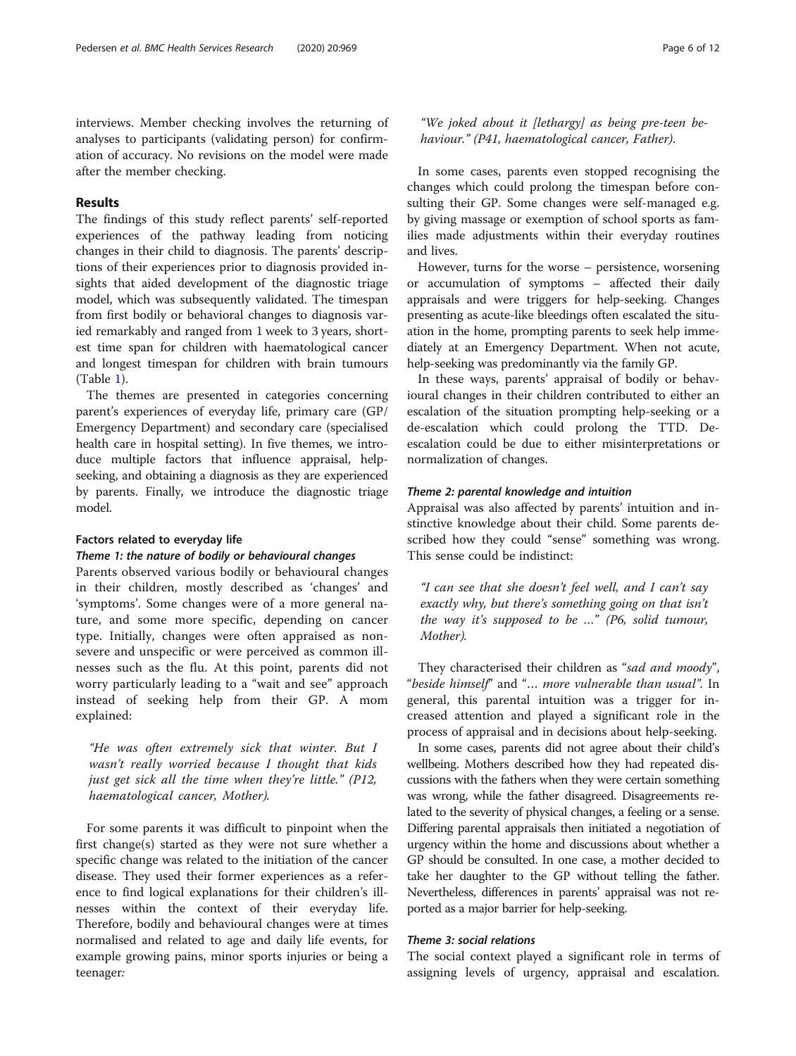# Results

The findings of this study reflect parents' self-reported experiences of the pathway leading from noticing changes in their child to diagnosis. The parents' descriptions of their experiences prior to diagnosis provided insights that aided development of the diagnostic triage model, which was subsequently validated. The timespan from first bodily or behavioral changes to diagnosis varied remarkably and ranged from 1 week to 3 years, shortest time span for children with haematological cancer and longest timespan for children with brain tumours (Table [1\)](#page-3-0).

The themes are presented in categories concerning parent's experiences of everyday life, primary care (GP/ Emergency Department) and secondary care (specialised health care in hospital setting). In five themes, we introduce multiple factors that influence appraisal, helpseeking, and obtaining a diagnosis as they are experienced by parents. Finally, we introduce the diagnostic triage model.

# Factors related to everyday life

# Theme 1: the nature of bodily or behavioural changes

Parents observed various bodily or behavioural changes in their children, mostly described as 'changes' and 'symptoms'. Some changes were of a more general nature, and some more specific, depending on cancer type. Initially, changes were often appraised as nonsevere and unspecific or were perceived as common illnesses such as the flu. At this point, parents did not worry particularly leading to a "wait and see" approach instead of seeking help from their GP. A mom explained:

"He was often extremely sick that winter. But I wasn't really worried because I thought that kids just get sick all the time when they're little." (P12, haematological cancer, Mother).

For some parents it was difficult to pinpoint when the first change(s) started as they were not sure whether a specific change was related to the initiation of the cancer disease. They used their former experiences as a reference to find logical explanations for their children's illnesses within the context of their everyday life. Therefore, bodily and behavioural changes were at times normalised and related to age and daily life events, for example growing pains, minor sports injuries or being a teenager:

"We joked about it [lethargy] as being pre-teen behaviour." (P41, haematological cancer, Father).

In some cases, parents even stopped recognising the changes which could prolong the timespan before consulting their GP. Some changes were self-managed e.g. by giving massage or exemption of school sports as families made adjustments within their everyday routines and lives.

However, turns for the worse – persistence, worsening or accumulation of symptoms – affected their daily appraisals and were triggers for help-seeking. Changes presenting as acute-like bleedings often escalated the situation in the home, prompting parents to seek help immediately at an Emergency Department. When not acute, help-seeking was predominantly via the family GP.

In these ways, parents' appraisal of bodily or behavioural changes in their children contributed to either an escalation of the situation prompting help-seeking or a de-escalation which could prolong the TTD. Deescalation could be due to either misinterpretations or normalization of changes.

#### Theme 2: parental knowledge and intuition

Appraisal was also affected by parents' intuition and instinctive knowledge about their child. Some parents described how they could "sense" something was wrong. This sense could be indistinct:

"I can see that she doesn't feel well, and I can't say exactly why, but there's something going on that isn't the way it's supposed to be  $\ldots$ " (P6, solid tumour, Mother).

They characterised their children as "sad and moody", "beside himself" and "… more vulnerable than usual". In general, this parental intuition was a trigger for increased attention and played a significant role in the process of appraisal and in decisions about help-seeking.

In some cases, parents did not agree about their child's wellbeing. Mothers described how they had repeated discussions with the fathers when they were certain something was wrong, while the father disagreed. Disagreements related to the severity of physical changes, a feeling or a sense. Differing parental appraisals then initiated a negotiation of urgency within the home and discussions about whether a GP should be consulted. In one case, a mother decided to take her daughter to the GP without telling the father. Nevertheless, differences in parents' appraisal was not reported as a major barrier for help-seeking.

# Theme 3: social relations

The social context played a significant role in terms of assigning levels of urgency, appraisal and escalation.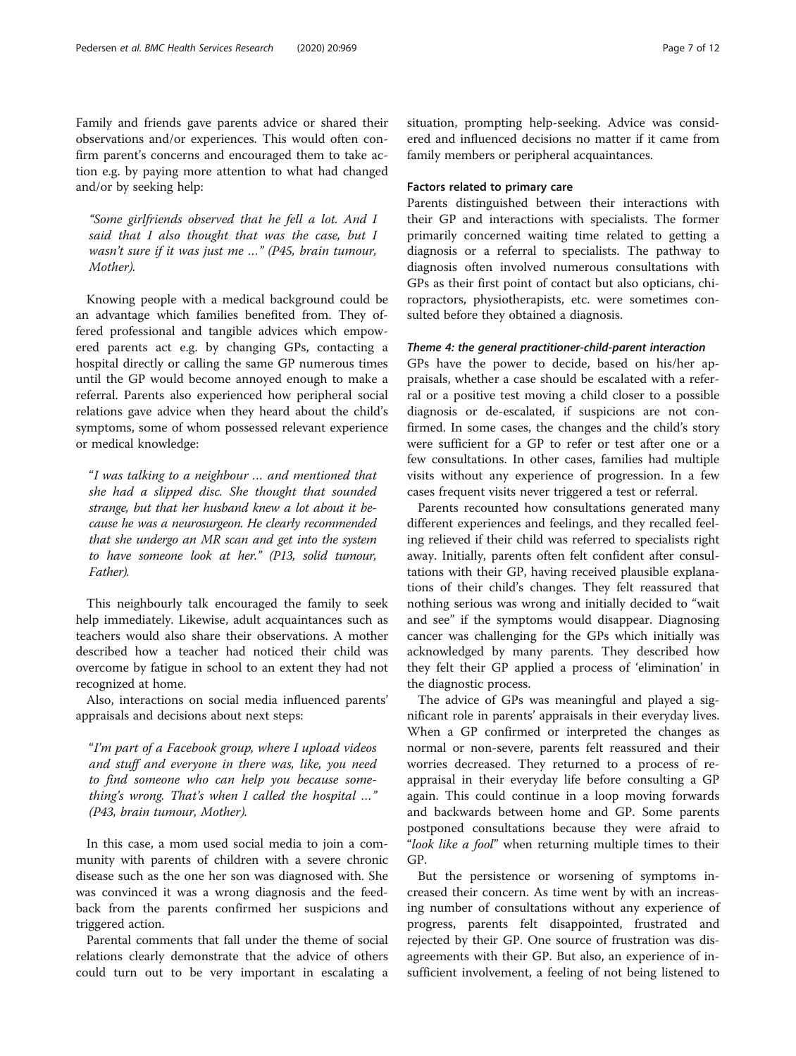Family and friends gave parents advice or shared their observations and/or experiences. This would often confirm parent's concerns and encouraged them to take action e.g. by paying more attention to what had changed and/or by seeking help:

"Some girlfriends observed that he fell a lot. And I said that I also thought that was the case, but I wasn't sure if it was just me …" (P45, brain tumour, Mother).

Knowing people with a medical background could be an advantage which families benefited from. They offered professional and tangible advices which empowered parents act e.g. by changing GPs, contacting a hospital directly or calling the same GP numerous times until the GP would become annoyed enough to make a referral. Parents also experienced how peripheral social relations gave advice when they heard about the child's symptoms, some of whom possessed relevant experience or medical knowledge:

"I was talking to a neighbour … and mentioned that she had a slipped disc. She thought that sounded strange, but that her husband knew a lot about it because he was a neurosurgeon. He clearly recommended that she undergo an MR scan and get into the system to have someone look at her." (P13, solid tumour, Father).

This neighbourly talk encouraged the family to seek help immediately. Likewise, adult acquaintances such as teachers would also share their observations. A mother described how a teacher had noticed their child was overcome by fatigue in school to an extent they had not recognized at home.

Also, interactions on social media influenced parents' appraisals and decisions about next steps:

"I'm part of a Facebook group, where I upload videos and stuff and everyone in there was, like, you need to find someone who can help you because something's wrong. That's when I called the hospital …" (P43, brain tumour, Mother).

In this case, a mom used social media to join a community with parents of children with a severe chronic disease such as the one her son was diagnosed with. She was convinced it was a wrong diagnosis and the feedback from the parents confirmed her suspicions and triggered action.

Parental comments that fall under the theme of social relations clearly demonstrate that the advice of others could turn out to be very important in escalating a situation, prompting help-seeking. Advice was considered and influenced decisions no matter if it came from family members or peripheral acquaintances.

# Factors related to primary care

Parents distinguished between their interactions with their GP and interactions with specialists. The former primarily concerned waiting time related to getting a diagnosis or a referral to specialists. The pathway to diagnosis often involved numerous consultations with GPs as their first point of contact but also opticians, chiropractors, physiotherapists, etc. were sometimes consulted before they obtained a diagnosis.

# Theme 4: the general practitioner-child-parent interaction

GPs have the power to decide, based on his/her appraisals, whether a case should be escalated with a referral or a positive test moving a child closer to a possible diagnosis or de-escalated, if suspicions are not confirmed. In some cases, the changes and the child's story were sufficient for a GP to refer or test after one or a few consultations. In other cases, families had multiple visits without any experience of progression. In a few cases frequent visits never triggered a test or referral.

Parents recounted how consultations generated many different experiences and feelings, and they recalled feeling relieved if their child was referred to specialists right away. Initially, parents often felt confident after consultations with their GP, having received plausible explanations of their child's changes. They felt reassured that nothing serious was wrong and initially decided to "wait and see" if the symptoms would disappear. Diagnosing cancer was challenging for the GPs which initially was acknowledged by many parents. They described how they felt their GP applied a process of 'elimination' in the diagnostic process.

The advice of GPs was meaningful and played a significant role in parents' appraisals in their everyday lives. When a GP confirmed or interpreted the changes as normal or non-severe, parents felt reassured and their worries decreased. They returned to a process of reappraisal in their everyday life before consulting a GP again. This could continue in a loop moving forwards and backwards between home and GP. Some parents postponed consultations because they were afraid to "look like a fool" when returning multiple times to their GP.

But the persistence or worsening of symptoms increased their concern. As time went by with an increasing number of consultations without any experience of progress, parents felt disappointed, frustrated and rejected by their GP. One source of frustration was disagreements with their GP. But also, an experience of insufficient involvement, a feeling of not being listened to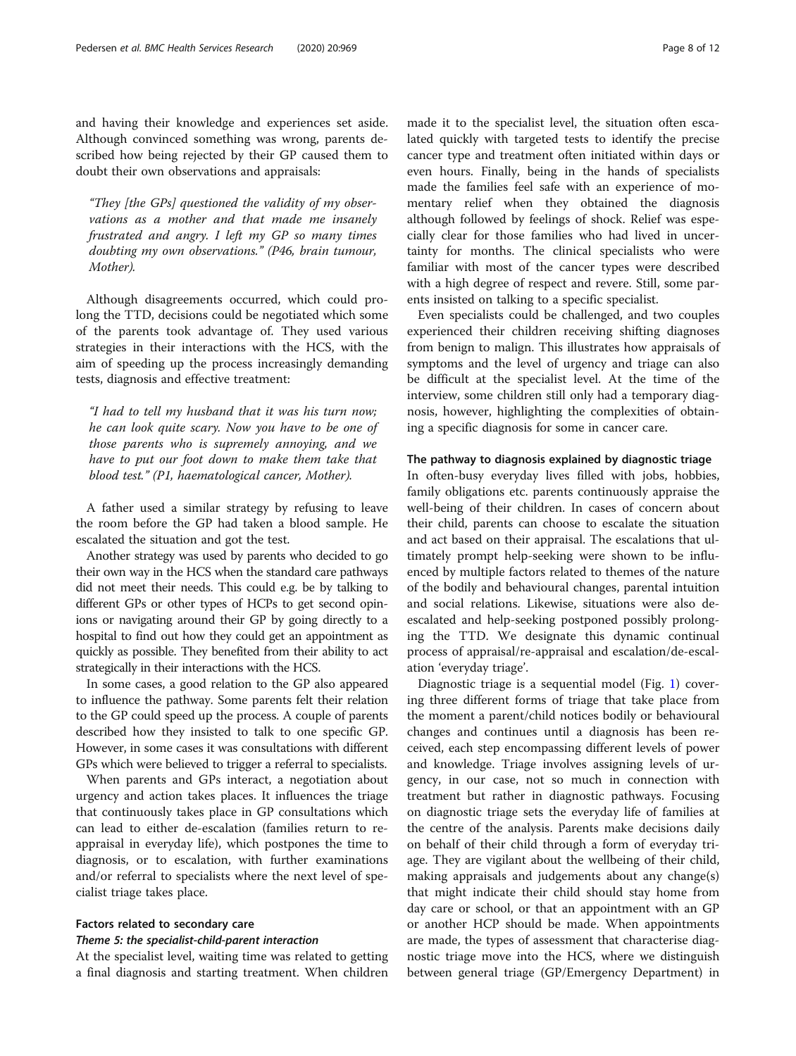and having their knowledge and experiences set aside. Although convinced something was wrong, parents described how being rejected by their GP caused them to doubt their own observations and appraisals:

"They [the GPs] questioned the validity of my observations as a mother and that made me insanely frustrated and angry. I left my GP so many times doubting my own observations." (P46, brain tumour, Mother).

Although disagreements occurred, which could prolong the TTD, decisions could be negotiated which some of the parents took advantage of. They used various strategies in their interactions with the HCS, with the aim of speeding up the process increasingly demanding tests, diagnosis and effective treatment:

"I had to tell my husband that it was his turn now; he can look quite scary. Now you have to be one of those parents who is supremely annoying, and we have to put our foot down to make them take that blood test." (P1, haematological cancer, Mother).

A father used a similar strategy by refusing to leave the room before the GP had taken a blood sample. He escalated the situation and got the test.

Another strategy was used by parents who decided to go their own way in the HCS when the standard care pathways did not meet their needs. This could e.g. be by talking to different GPs or other types of HCPs to get second opinions or navigating around their GP by going directly to a hospital to find out how they could get an appointment as quickly as possible. They benefited from their ability to act strategically in their interactions with the HCS.

In some cases, a good relation to the GP also appeared to influence the pathway. Some parents felt their relation to the GP could speed up the process. A couple of parents described how they insisted to talk to one specific GP. However, in some cases it was consultations with different GPs which were believed to trigger a referral to specialists.

When parents and GPs interact, a negotiation about urgency and action takes places. It influences the triage that continuously takes place in GP consultations which can lead to either de-escalation (families return to reappraisal in everyday life), which postpones the time to diagnosis, or to escalation, with further examinations and/or referral to specialists where the next level of specialist triage takes place.

# Factors related to secondary care

# Theme 5: the specialist-child-parent interaction

At the specialist level, waiting time was related to getting a final diagnosis and starting treatment. When children

made it to the specialist level, the situation often escalated quickly with targeted tests to identify the precise cancer type and treatment often initiated within days or even hours. Finally, being in the hands of specialists made the families feel safe with an experience of momentary relief when they obtained the diagnosis although followed by feelings of shock. Relief was especially clear for those families who had lived in uncertainty for months. The clinical specialists who were familiar with most of the cancer types were described with a high degree of respect and revere. Still, some parents insisted on talking to a specific specialist.

Even specialists could be challenged, and two couples experienced their children receiving shifting diagnoses from benign to malign. This illustrates how appraisals of symptoms and the level of urgency and triage can also be difficult at the specialist level. At the time of the interview, some children still only had a temporary diagnosis, however, highlighting the complexities of obtaining a specific diagnosis for some in cancer care.

# The pathway to diagnosis explained by diagnostic triage

In often-busy everyday lives filled with jobs, hobbies, family obligations etc. parents continuously appraise the well-being of their children. In cases of concern about their child, parents can choose to escalate the situation and act based on their appraisal. The escalations that ultimately prompt help-seeking were shown to be influenced by multiple factors related to themes of the nature of the bodily and behavioural changes, parental intuition and social relations. Likewise, situations were also deescalated and help-seeking postponed possibly prolonging the TTD. We designate this dynamic continual process of appraisal/re-appraisal and escalation/de-escalation 'everyday triage'.

Diagnostic triage is a sequential model (Fig. [1\)](#page-2-0) covering three different forms of triage that take place from the moment a parent/child notices bodily or behavioural changes and continues until a diagnosis has been received, each step encompassing different levels of power and knowledge. Triage involves assigning levels of urgency, in our case, not so much in connection with treatment but rather in diagnostic pathways. Focusing on diagnostic triage sets the everyday life of families at the centre of the analysis. Parents make decisions daily on behalf of their child through a form of everyday triage. They are vigilant about the wellbeing of their child, making appraisals and judgements about any change(s) that might indicate their child should stay home from day care or school, or that an appointment with an GP or another HCP should be made. When appointments are made, the types of assessment that characterise diagnostic triage move into the HCS, where we distinguish between general triage (GP/Emergency Department) in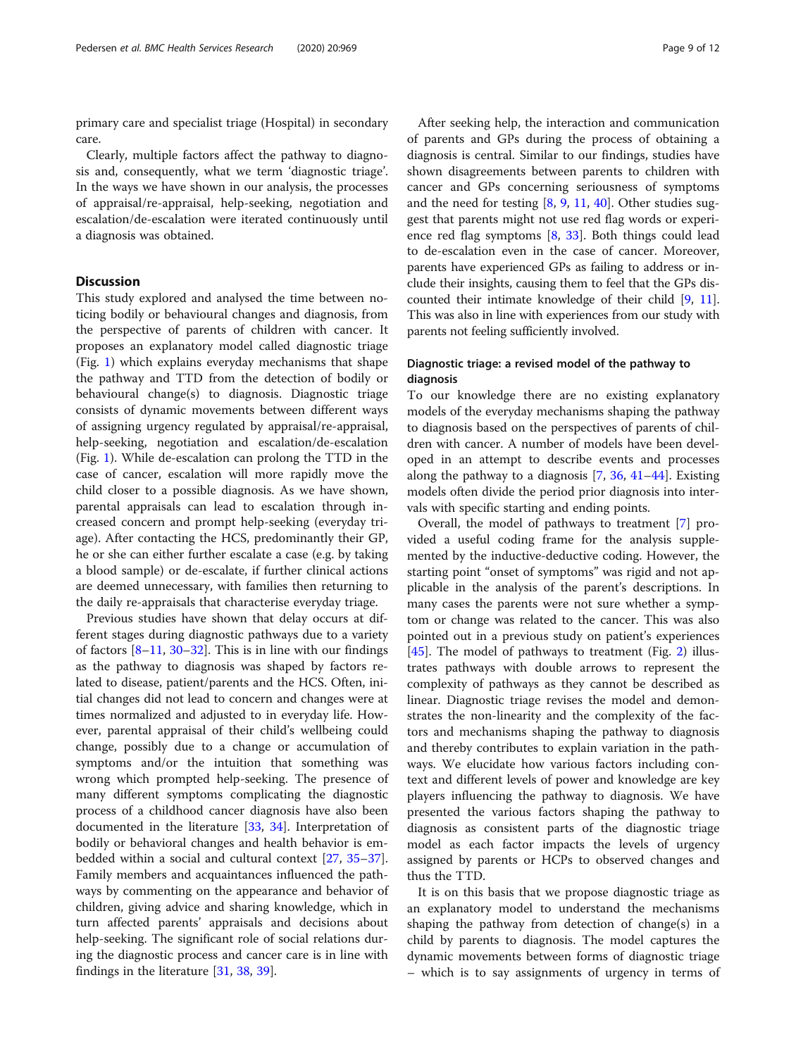primary care and specialist triage (Hospital) in secondary care.

Clearly, multiple factors affect the pathway to diagnosis and, consequently, what we term 'diagnostic triage'. In the ways we have shown in our analysis, the processes of appraisal/re-appraisal, help-seeking, negotiation and escalation/de-escalation were iterated continuously until a diagnosis was obtained.

# **Discussion**

This study explored and analysed the time between noticing bodily or behavioural changes and diagnosis, from the perspective of parents of children with cancer. It proposes an explanatory model called diagnostic triage (Fig. [1\)](#page-2-0) which explains everyday mechanisms that shape the pathway and TTD from the detection of bodily or behavioural change(s) to diagnosis. Diagnostic triage consists of dynamic movements between different ways of assigning urgency regulated by appraisal/re-appraisal, help-seeking, negotiation and escalation/de-escalation (Fig. [1](#page-2-0)). While de-escalation can prolong the TTD in the case of cancer, escalation will more rapidly move the child closer to a possible diagnosis. As we have shown, parental appraisals can lead to escalation through increased concern and prompt help-seeking (everyday triage). After contacting the HCS, predominantly their GP, he or she can either further escalate a case (e.g. by taking a blood sample) or de-escalate, if further clinical actions are deemed unnecessary, with families then returning to the daily re-appraisals that characterise everyday triage.

Previous studies have shown that delay occurs at different stages during diagnostic pathways due to a variety of factors  $[8-11, 30-32]$  $[8-11, 30-32]$  $[8-11, 30-32]$  $[8-11, 30-32]$  $[8-11, 30-32]$  $[8-11, 30-32]$  $[8-11, 30-32]$ . This is in line with our findings as the pathway to diagnosis was shaped by factors related to disease, patient/parents and the HCS. Often, initial changes did not lead to concern and changes were at times normalized and adjusted to in everyday life. However, parental appraisal of their child's wellbeing could change, possibly due to a change or accumulation of symptoms and/or the intuition that something was wrong which prompted help-seeking. The presence of many different symptoms complicating the diagnostic process of a childhood cancer diagnosis have also been documented in the literature [[33,](#page-11-0) [34\]](#page-11-0). Interpretation of bodily or behavioral changes and health behavior is embedded within a social and cultural context [\[27,](#page-11-0) [35](#page-11-0)–[37](#page-11-0)]. Family members and acquaintances influenced the pathways by commenting on the appearance and behavior of children, giving advice and sharing knowledge, which in turn affected parents' appraisals and decisions about help-seeking. The significant role of social relations during the diagnostic process and cancer care is in line with findings in the literature [\[31](#page-11-0), [38](#page-11-0), [39\]](#page-11-0).

After seeking help, the interaction and communication of parents and GPs during the process of obtaining a diagnosis is central. Similar to our findings, studies have shown disagreements between parents to children with cancer and GPs concerning seriousness of symptoms and the need for testing  $[8, 9, 11, 40]$  $[8, 9, 11, 40]$  $[8, 9, 11, 40]$  $[8, 9, 11, 40]$  $[8, 9, 11, 40]$  $[8, 9, 11, 40]$  $[8, 9, 11, 40]$  $[8, 9, 11, 40]$ . Other studies suggest that parents might not use red flag words or experience red flag symptoms [\[8](#page-10-0), [33](#page-11-0)]. Both things could lead to de-escalation even in the case of cancer. Moreover, parents have experienced GPs as failing to address or include their insights, causing them to feel that the GPs discounted their intimate knowledge of their child [\[9](#page-10-0), [11](#page-10-0)]. This was also in line with experiences from our study with parents not feeling sufficiently involved.

# Diagnostic triage: a revised model of the pathway to diagnosis

To our knowledge there are no existing explanatory models of the everyday mechanisms shaping the pathway to diagnosis based on the perspectives of parents of children with cancer. A number of models have been developed in an attempt to describe events and processes along the pathway to a diagnosis  $[7, 36, 41-44]$  $[7, 36, 41-44]$  $[7, 36, 41-44]$  $[7, 36, 41-44]$  $[7, 36, 41-44]$  $[7, 36, 41-44]$  $[7, 36, 41-44]$  $[7, 36, 41-44]$ . Existing models often divide the period prior diagnosis into intervals with specific starting and ending points.

Overall, the model of pathways to treatment [[7\]](#page-10-0) provided a useful coding frame for the analysis supplemented by the inductive-deductive coding. However, the starting point "onset of symptoms" was rigid and not applicable in the analysis of the parent's descriptions. In many cases the parents were not sure whether a symptom or change was related to the cancer. This was also pointed out in a previous study on patient's experiences [[45\]](#page-11-0). The model of pathways to treatment (Fig. [2](#page-4-0)) illustrates pathways with double arrows to represent the complexity of pathways as they cannot be described as linear. Diagnostic triage revises the model and demonstrates the non-linearity and the complexity of the factors and mechanisms shaping the pathway to diagnosis and thereby contributes to explain variation in the pathways. We elucidate how various factors including context and different levels of power and knowledge are key players influencing the pathway to diagnosis. We have presented the various factors shaping the pathway to diagnosis as consistent parts of the diagnostic triage model as each factor impacts the levels of urgency assigned by parents or HCPs to observed changes and thus the TTD.

It is on this basis that we propose diagnostic triage as an explanatory model to understand the mechanisms shaping the pathway from detection of change(s) in a child by parents to diagnosis. The model captures the dynamic movements between forms of diagnostic triage – which is to say assignments of urgency in terms of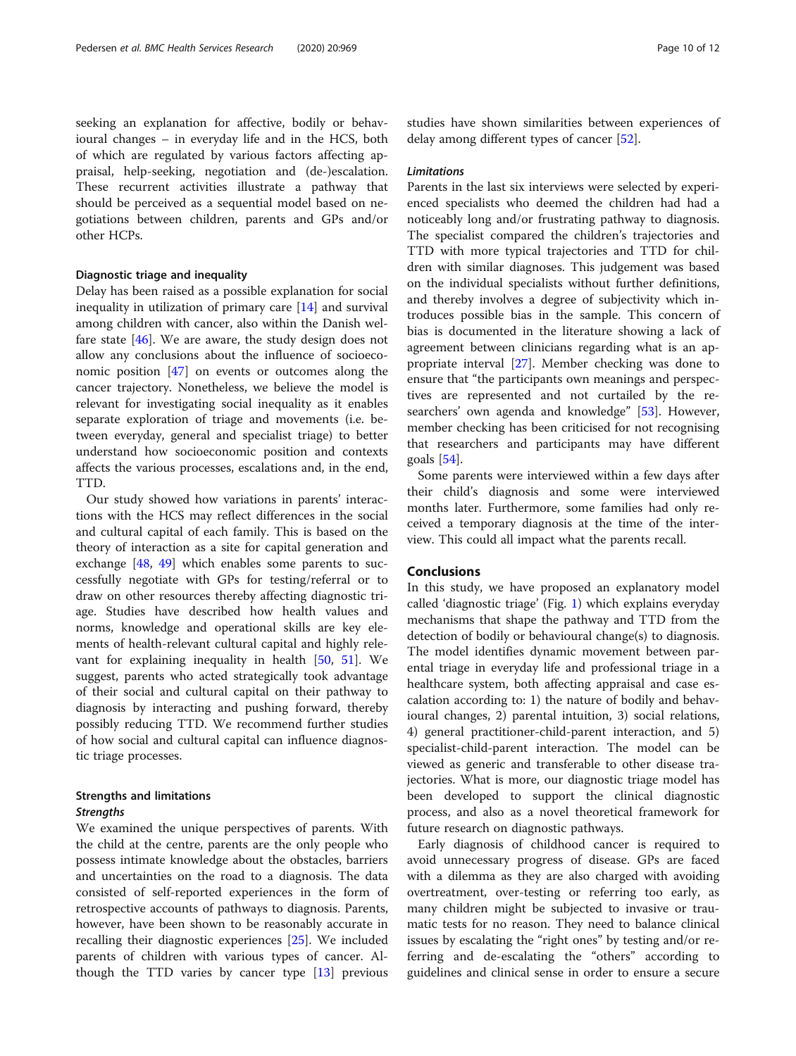seeking an explanation for affective, bodily or behavioural changes – in everyday life and in the HCS, both of which are regulated by various factors affecting appraisal, help-seeking, negotiation and (de-)escalation. These recurrent activities illustrate a pathway that should be perceived as a sequential model based on negotiations between children, parents and GPs and/or other HCPs.

# Diagnostic triage and inequality

Delay has been raised as a possible explanation for social inequality in utilization of primary care [[14\]](#page-11-0) and survival among children with cancer, also within the Danish welfare state [\[46](#page-11-0)]. We are aware, the study design does not allow any conclusions about the influence of socioeconomic position [\[47](#page-11-0)] on events or outcomes along the cancer trajectory. Nonetheless, we believe the model is relevant for investigating social inequality as it enables separate exploration of triage and movements (i.e. between everyday, general and specialist triage) to better understand how socioeconomic position and contexts affects the various processes, escalations and, in the end, TTD.

Our study showed how variations in parents' interactions with the HCS may reflect differences in the social and cultural capital of each family. This is based on the theory of interaction as a site for capital generation and exchange [\[48](#page-11-0), [49\]](#page-11-0) which enables some parents to successfully negotiate with GPs for testing/referral or to draw on other resources thereby affecting diagnostic triage. Studies have described how health values and norms, knowledge and operational skills are key elements of health-relevant cultural capital and highly relevant for explaining inequality in health [[50,](#page-11-0) [51](#page-11-0)]. We suggest, parents who acted strategically took advantage of their social and cultural capital on their pathway to diagnosis by interacting and pushing forward, thereby possibly reducing TTD. We recommend further studies of how social and cultural capital can influence diagnostic triage processes.

# Strengths and limitations **Strengths**

We examined the unique perspectives of parents. With the child at the centre, parents are the only people who possess intimate knowledge about the obstacles, barriers and uncertainties on the road to a diagnosis. The data consisted of self-reported experiences in the form of retrospective accounts of pathways to diagnosis. Parents, however, have been shown to be reasonably accurate in recalling their diagnostic experiences [\[25\]](#page-11-0). We included parents of children with various types of cancer. Although the TTD varies by cancer type [\[13](#page-11-0)] previous studies have shown similarities between experiences of delay among different types of cancer [\[52](#page-11-0)].

## **Limitations**

Parents in the last six interviews were selected by experienced specialists who deemed the children had had a noticeably long and/or frustrating pathway to diagnosis. The specialist compared the children's trajectories and TTD with more typical trajectories and TTD for children with similar diagnoses. This judgement was based on the individual specialists without further definitions, and thereby involves a degree of subjectivity which introduces possible bias in the sample. This concern of bias is documented in the literature showing a lack of agreement between clinicians regarding what is an appropriate interval [\[27](#page-11-0)]. Member checking was done to ensure that "the participants own meanings and perspectives are represented and not curtailed by the researchers' own agenda and knowledge" [[53\]](#page-11-0). However, member checking has been criticised for not recognising that researchers and participants may have different goals [\[54](#page-11-0)].

Some parents were interviewed within a few days after their child's diagnosis and some were interviewed months later. Furthermore, some families had only received a temporary diagnosis at the time of the interview. This could all impact what the parents recall.

# Conclusions

In this study, we have proposed an explanatory model called 'diagnostic triage' (Fig. [1](#page-2-0)) which explains everyday mechanisms that shape the pathway and TTD from the detection of bodily or behavioural change(s) to diagnosis. The model identifies dynamic movement between parental triage in everyday life and professional triage in a healthcare system, both affecting appraisal and case escalation according to: 1) the nature of bodily and behavioural changes, 2) parental intuition, 3) social relations, 4) general practitioner-child-parent interaction, and 5) specialist-child-parent interaction. The model can be viewed as generic and transferable to other disease trajectories. What is more, our diagnostic triage model has been developed to support the clinical diagnostic process, and also as a novel theoretical framework for future research on diagnostic pathways.

Early diagnosis of childhood cancer is required to avoid unnecessary progress of disease. GPs are faced with a dilemma as they are also charged with avoiding overtreatment, over-testing or referring too early, as many children might be subjected to invasive or traumatic tests for no reason. They need to balance clinical issues by escalating the "right ones" by testing and/or referring and de-escalating the "others" according to guidelines and clinical sense in order to ensure a secure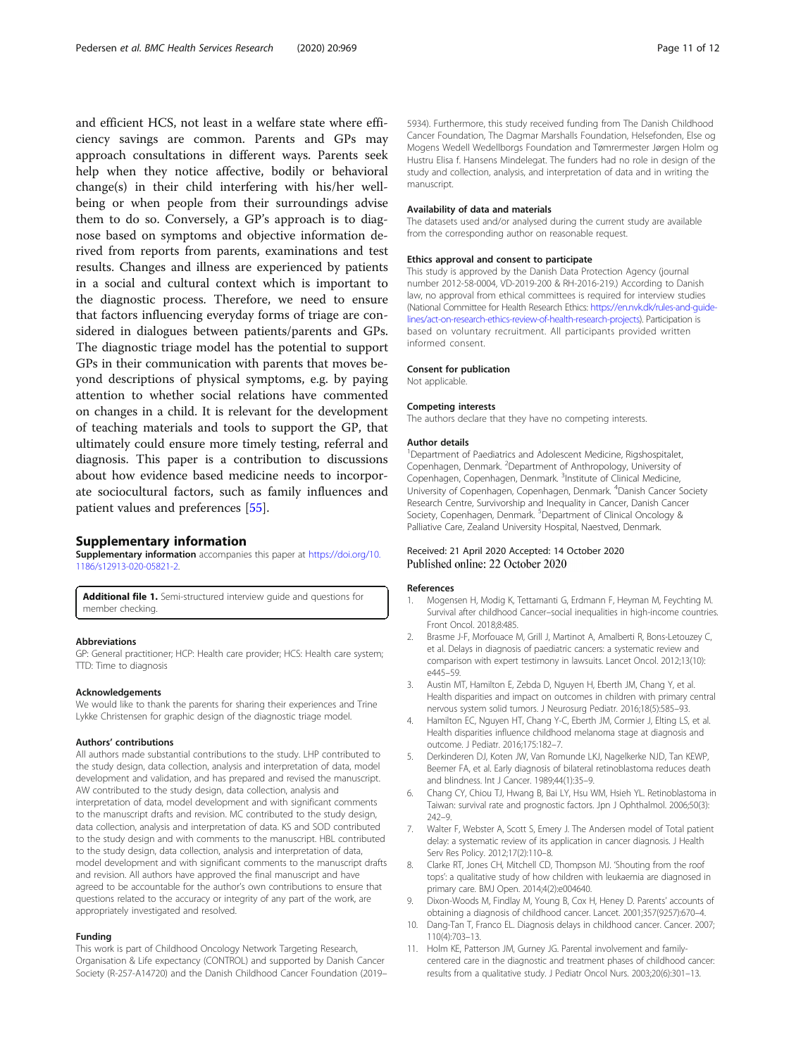<span id="page-10-0"></span>and efficient HCS, not least in a welfare state where efficiency savings are common. Parents and GPs may approach consultations in different ways. Parents seek help when they notice affective, bodily or behavioral change(s) in their child interfering with his/her wellbeing or when people from their surroundings advise them to do so. Conversely, a GP's approach is to diagnose based on symptoms and objective information derived from reports from parents, examinations and test results. Changes and illness are experienced by patients in a social and cultural context which is important to the diagnostic process. Therefore, we need to ensure that factors influencing everyday forms of triage are considered in dialogues between patients/parents and GPs. The diagnostic triage model has the potential to support GPs in their communication with parents that moves beyond descriptions of physical symptoms, e.g. by paying attention to whether social relations have commented on changes in a child. It is relevant for the development of teaching materials and tools to support the GP, that ultimately could ensure more timely testing, referral and diagnosis. This paper is a contribution to discussions about how evidence based medicine needs to incorporate sociocultural factors, such as family influences and patient values and preferences [[55](#page-11-0)].

# Supplementary information

Supplementary information accompanies this paper at [https://doi.org/10.](https://doi.org/10.1186/s12913-020-05821-2) [1186/s12913-020-05821-2](https://doi.org/10.1186/s12913-020-05821-2).

Additional file 1. Semi-structured interview guide and questions for member checking.

#### Abbreviations

GP: General practitioner; HCP: Health care provider; HCS: Health care system; TTD: Time to diagnosis

#### Acknowledgements

We would like to thank the parents for sharing their experiences and Trine Lykke Christensen for graphic design of the diagnostic triage model.

#### Authors' contributions

All authors made substantial contributions to the study. LHP contributed to the study design, data collection, analysis and interpretation of data, model development and validation, and has prepared and revised the manuscript. AW contributed to the study design, data collection, analysis and interpretation of data, model development and with significant comments to the manuscript drafts and revision. MC contributed to the study design, data collection, analysis and interpretation of data. KS and SOD contributed to the study design and with comments to the manuscript. HBL contributed to the study design, data collection, analysis and interpretation of data, model development and with significant comments to the manuscript drafts and revision. All authors have approved the final manuscript and have agreed to be accountable for the author's own contributions to ensure that questions related to the accuracy or integrity of any part of the work, are appropriately investigated and resolved.

#### Funding

This work is part of Childhood Oncology Network Targeting Research, Organisation & Life expectancy (CONTROL) and supported by Danish Cancer Society (R-257-A14720) and the Danish Childhood Cancer Foundation (2019–

5934). Furthermore, this study received funding from The Danish Childhood Cancer Foundation, The Dagmar Marshalls Foundation, Helsefonden, Else og Mogens Wedell Wedellborgs Foundation and Tømrermester Jørgen Holm og Hustru Elisa f. Hansens Mindelegat. The funders had no role in design of the study and collection, analysis, and interpretation of data and in writing the manuscript.

#### Availability of data and materials

The datasets used and/or analysed during the current study are available from the corresponding author on reasonable request.

#### Ethics approval and consent to participate

This study is approved by the Danish Data Protection Agency (journal number 2012-58-0004, VD-2019-200 & RH-2016-219.) According to Danish law, no approval from ethical committees is required for interview studies (National Committee for Health Research Ethics: [https://en.nvk.dk/rules-and-guide](https://en.nvk.dk/rules-and-guidelines/act-on-research-ethics-review-of-health-research-projects)[lines/act-on-research-ethics-review-of-health-research-projects\)](https://en.nvk.dk/rules-and-guidelines/act-on-research-ethics-review-of-health-research-projects). Participation is based on voluntary recruitment. All participants provided written informed consent.

# Consent for publication

Not applicable.

#### Competing interests

The authors declare that they have no competing interests.

#### Author details

<sup>1</sup>Department of Paediatrics and Adolescent Medicine, Rigshospitalet, Copenhagen, Denmark. <sup>2</sup>Department of Anthropology, University of Copenhagen, Copenhagen, Denmark. <sup>3</sup>Institute of Clinical Medicine, University of Copenhagen, Copenhagen, Denmark. <sup>4</sup>Danish Cancer Society Research Centre, Survivorship and Inequality in Cancer, Danish Cancer Society, Copenhagen, Denmark. <sup>5</sup>Department of Clinical Oncology & Palliative Care, Zealand University Hospital, Naestved, Denmark.

# Received: 21 April 2020 Accepted: 14 October 2020 Published online: 22 October 2020

#### References

- 1. Mogensen H, Modig K, Tettamanti G, Erdmann F, Heyman M, Feychting M. Survival after childhood Cancer–social inequalities in high-income countries. Front Oncol. 2018;8:485.
- 2. Brasme J-F, Morfouace M, Grill J, Martinot A, Amalberti R, Bons-Letouzey C, et al. Delays in diagnosis of paediatric cancers: a systematic review and comparison with expert testimony in lawsuits. Lancet Oncol. 2012;13(10): e445–59.
- 3. Austin MT, Hamilton E, Zebda D, Nguyen H, Eberth JM, Chang Y, et al. Health disparities and impact on outcomes in children with primary central nervous system solid tumors. J Neurosurg Pediatr. 2016;18(5):585–93.
- 4. Hamilton EC, Nguyen HT, Chang Y-C, Eberth JM, Cormier J, Elting LS, et al. Health disparities influence childhood melanoma stage at diagnosis and outcome. J Pediatr. 2016;175:182–7.
- 5. Derkinderen DJ, Koten JW, Van Romunde LKJ, Nagelkerke NJD, Tan KEWP, Beemer FA, et al. Early diagnosis of bilateral retinoblastoma reduces death and blindness. Int J Cancer. 1989;44(1):35–9.
- 6. Chang CY, Chiou TJ, Hwang B, Bai LY, Hsu WM, Hsieh YL. Retinoblastoma in Taiwan: survival rate and prognostic factors. Jpn J Ophthalmol. 2006;50(3): 242–9.
- 7. Walter F, Webster A, Scott S, Emery J. The Andersen model of Total patient delay: a systematic review of its application in cancer diagnosis. J Health Serv Res Policy. 2012;17(2):110–8.
- Clarke RT, Jones CH, Mitchell CD, Thompson MJ. 'Shouting from the roof tops': a qualitative study of how children with leukaemia are diagnosed in primary care. BMJ Open. 2014;4(2):e004640.
- 9. Dixon-Woods M, Findlay M, Young B, Cox H, Heney D. Parents' accounts of obtaining a diagnosis of childhood cancer. Lancet. 2001;357(9257):670–4.
- 10. Dang-Tan T, Franco EL. Diagnosis delays in childhood cancer. Cancer. 2007; 110(4):703–13.
- 11. Holm KE, Patterson JM, Gurney JG. Parental involvement and familycentered care in the diagnostic and treatment phases of childhood cancer: results from a qualitative study. J Pediatr Oncol Nurs. 2003;20(6):301–13.